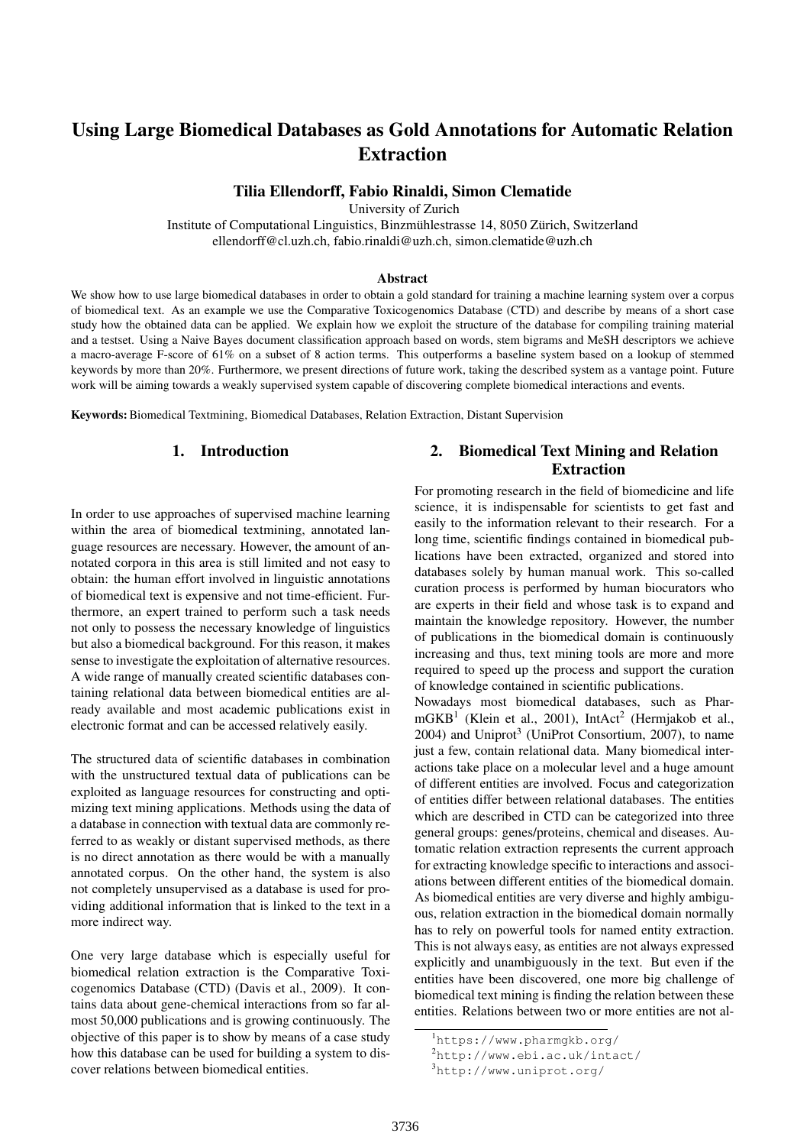# Using Large Biomedical Databases as Gold Annotations for Automatic Relation Extraction

### Tilia Ellendorff, Fabio Rinaldi, Simon Clematide

University of Zurich

Institute of Computational Linguistics, Binzmühlestrasse 14, 8050 Zürich, Switzerland ellendorff@cl.uzh.ch, fabio.rinaldi@uzh.ch, simon.clematide@uzh.ch

#### Abstract

We show how to use large biomedical databases in order to obtain a gold standard for training a machine learning system over a corpus of biomedical text. As an example we use the Comparative Toxicogenomics Database (CTD) and describe by means of a short case study how the obtained data can be applied. We explain how we exploit the structure of the database for compiling training material and a testset. Using a Naive Bayes document classification approach based on words, stem bigrams and MeSH descriptors we achieve a macro-average F-score of 61% on a subset of 8 action terms. This outperforms a baseline system based on a lookup of stemmed keywords by more than 20%. Furthermore, we present directions of future work, taking the described system as a vantage point. Future work will be aiming towards a weakly supervised system capable of discovering complete biomedical interactions and events.

Keywords:Biomedical Textmining, Biomedical Databases, Relation Extraction, Distant Supervision

# 1. Introduction

In order to use approaches of supervised machine learning within the area of biomedical textmining, annotated language resources are necessary. However, the amount of annotated corpora in this area is still limited and not easy to obtain: the human effort involved in linguistic annotations of biomedical text is expensive and not time-efficient. Furthermore, an expert trained to perform such a task needs not only to possess the necessary knowledge of linguistics but also a biomedical background. For this reason, it makes sense to investigate the exploitation of alternative resources. A wide range of manually created scientific databases containing relational data between biomedical entities are already available and most academic publications exist in electronic format and can be accessed relatively easily.

The structured data of scientific databases in combination with the unstructured textual data of publications can be exploited as language resources for constructing and optimizing text mining applications. Methods using the data of a database in connection with textual data are commonly referred to as weakly or distant supervised methods, as there is no direct annotation as there would be with a manually annotated corpus. On the other hand, the system is also not completely unsupervised as a database is used for providing additional information that is linked to the text in a more indirect way.

One very large database which is especially useful for biomedical relation extraction is the Comparative Toxicogenomics Database (CTD) (Davis et al., 2009). It contains data about gene-chemical interactions from so far almost 50,000 publications and is growing continuously. The objective of this paper is to show by means of a case study how this database can be used for building a system to discover relations between biomedical entities.

# 2. Biomedical Text Mining and Relation Extraction

For promoting research in the field of biomedicine and life science, it is indispensable for scientists to get fast and easily to the information relevant to their research. For a long time, scientific findings contained in biomedical publications have been extracted, organized and stored into databases solely by human manual work. This so-called curation process is performed by human biocurators who are experts in their field and whose task is to expand and maintain the knowledge repository. However, the number of publications in the biomedical domain is continuously increasing and thus, text mining tools are more and more required to speed up the process and support the curation of knowledge contained in scientific publications.

Nowadays most biomedical databases, such as Phar $mGKB<sup>1</sup>$  (Klein et al., 2001), IntAct<sup>2</sup> (Hermjakob et al., 2004) and Uniprot<sup>3</sup> (UniProt Consortium, 2007), to name just a few, contain relational data. Many biomedical interactions take place on a molecular level and a huge amount of different entities are involved. Focus and categorization of entities differ between relational databases. The entities which are described in CTD can be categorized into three general groups: genes/proteins, chemical and diseases. Automatic relation extraction represents the current approach for extracting knowledge specific to interactions and associations between different entities of the biomedical domain. As biomedical entities are very diverse and highly ambiguous, relation extraction in the biomedical domain normally has to rely on powerful tools for named entity extraction. This is not always easy, as entities are not always expressed explicitly and unambiguously in the text. But even if the entities have been discovered, one more big challenge of biomedical text mining is finding the relation between these entities. Relations between two or more entities are not al-

<sup>1</sup>https://www.pharmgkb.org/

 $^{2}$ http://www.ebi.ac.uk/intact/

<sup>3</sup>http://www.uniprot.org/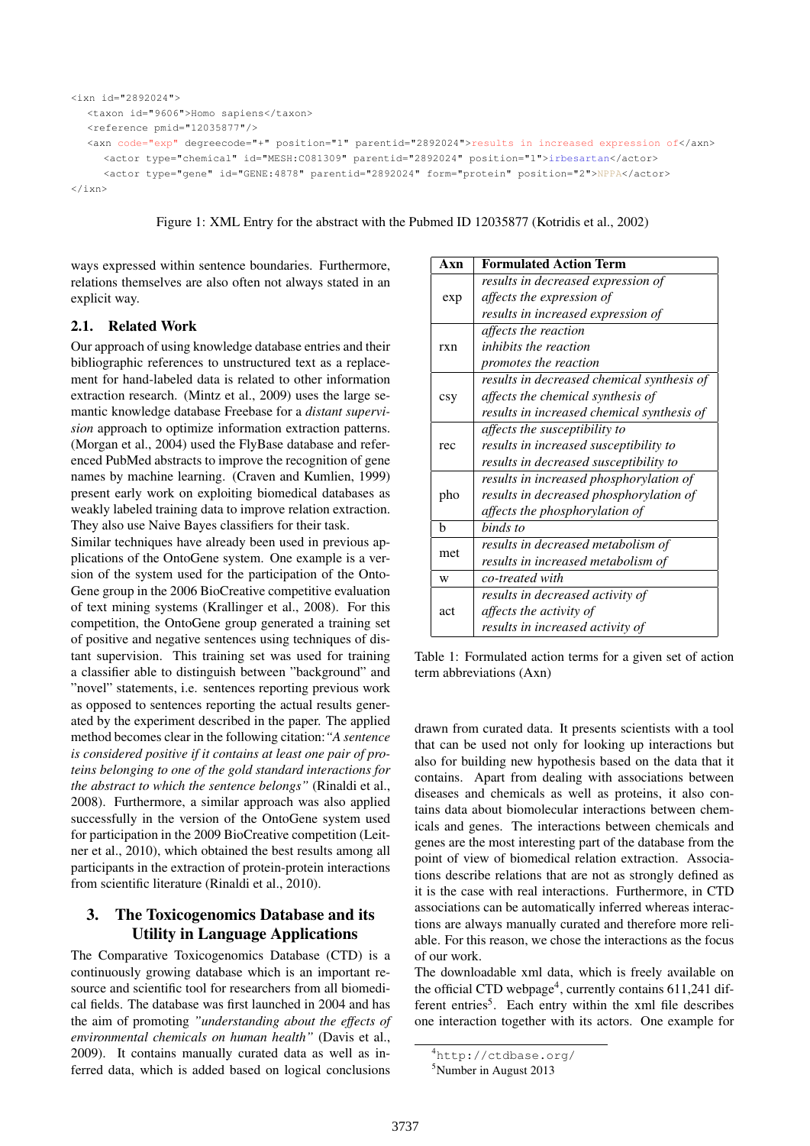```
<ixn id="2892024">
  <taxon id="9606">Homo sapiens</taxon>
  <reference pmid="12035877"/>
  <axn code="exp" degreecode="+" position="1" parentid="2892024">results in increased expression of</axn>
     <actor type="chemical" id="MESH:C081309" parentid="2892024" position="1">irbesartan</actor>
     <actor type="gene" id="GENE:4878" parentid="2892024" form="protein" position="2">NPPA</actor>
\langle/ixn\rangle
```
Figure 1: XML Entry for the abstract with the Pubmed ID 12035877 (Kotridis et al., 2002)

ways expressed within sentence boundaries. Furthermore, relations themselves are also often not always stated in an explicit way.

### 2.1. Related Work

Our approach of using knowledge database entries and their bibliographic references to unstructured text as a replacement for hand-labeled data is related to other information extraction research. (Mintz et al., 2009) uses the large semantic knowledge database Freebase for a *distant supervision* approach to optimize information extraction patterns. (Morgan et al., 2004) used the FlyBase database and referenced PubMed abstracts to improve the recognition of gene names by machine learning. (Craven and Kumlien, 1999) present early work on exploiting biomedical databases as weakly labeled training data to improve relation extraction. They also use Naive Bayes classifiers for their task.

Similar techniques have already been used in previous applications of the OntoGene system. One example is a version of the system used for the participation of the Onto-Gene group in the 2006 BioCreative competitive evaluation of text mining systems (Krallinger et al., 2008). For this competition, the OntoGene group generated a training set of positive and negative sentences using techniques of distant supervision. This training set was used for training a classifier able to distinguish between "background" and "novel" statements, i.e. sentences reporting previous work as opposed to sentences reporting the actual results generated by the experiment described in the paper. The applied method becomes clear in the following citation:*"A sentence is considered positive if it contains at least one pair of proteins belonging to one of the gold standard interactions for the abstract to which the sentence belongs"* (Rinaldi et al., 2008). Furthermore, a similar approach was also applied successfully in the version of the OntoGene system used for participation in the 2009 BioCreative competition (Leitner et al., 2010), which obtained the best results among all participants in the extraction of protein-protein interactions from scientific literature (Rinaldi et al., 2010).

# 3. The Toxicogenomics Database and its Utility in Language Applications

The Comparative Toxicogenomics Database (CTD) is a continuously growing database which is an important resource and scientific tool for researchers from all biomedical fields. The database was first launched in 2004 and has the aim of promoting *"understanding about the effects of environmental chemicals on human health"* (Davis et al., 2009). It contains manually curated data as well as inferred data, which is added based on logical conclusions

| Axn | <b>Formulated Action Term</b>              |  |  |  |  |
|-----|--------------------------------------------|--|--|--|--|
| exp | results in decreased expression of         |  |  |  |  |
|     | affects the expression of                  |  |  |  |  |
|     | results in increased expression of         |  |  |  |  |
| rxn | affects the reaction                       |  |  |  |  |
|     | <i>inhibits the reaction</i>               |  |  |  |  |
|     | <i>promotes the reaction</i>               |  |  |  |  |
| csy | results in decreased chemical synthesis of |  |  |  |  |
|     | affects the chemical synthesis of          |  |  |  |  |
|     | results in increased chemical synthesis of |  |  |  |  |
| rec | affects the susceptibility to              |  |  |  |  |
|     | results in increased susceptibility to     |  |  |  |  |
|     | results in decreased susceptibility to     |  |  |  |  |
| pho | results in increased phosphorylation of    |  |  |  |  |
|     | results in decreased phosphorylation of    |  |  |  |  |
|     | affects the phosphorylation of             |  |  |  |  |
| h   | binds to                                   |  |  |  |  |
| met | results in decreased metabolism of         |  |  |  |  |
|     | results in increased metabolism of         |  |  |  |  |
| W   | co-treated with                            |  |  |  |  |
| act | results in decreased activity of           |  |  |  |  |
|     | affects the activity of                    |  |  |  |  |
|     | results in increased activity of           |  |  |  |  |

Table 1: Formulated action terms for a given set of action term abbreviations (Axn)

drawn from curated data. It presents scientists with a tool that can be used not only for looking up interactions but also for building new hypothesis based on the data that it contains. Apart from dealing with associations between diseases and chemicals as well as proteins, it also contains data about biomolecular interactions between chemicals and genes. The interactions between chemicals and genes are the most interesting part of the database from the point of view of biomedical relation extraction. Associations describe relations that are not as strongly defined as it is the case with real interactions. Furthermore, in CTD associations can be automatically inferred whereas interactions are always manually curated and therefore more reliable. For this reason, we chose the interactions as the focus of our work.

The downloadable xml data, which is freely available on the official CTD webpage<sup>4</sup>, currently contains 611,241 different entries<sup>5</sup>. Each entry within the xml file describes one interaction together with its actors. One example for

<sup>4</sup>http://ctdbase.org/

<sup>5</sup>Number in August 2013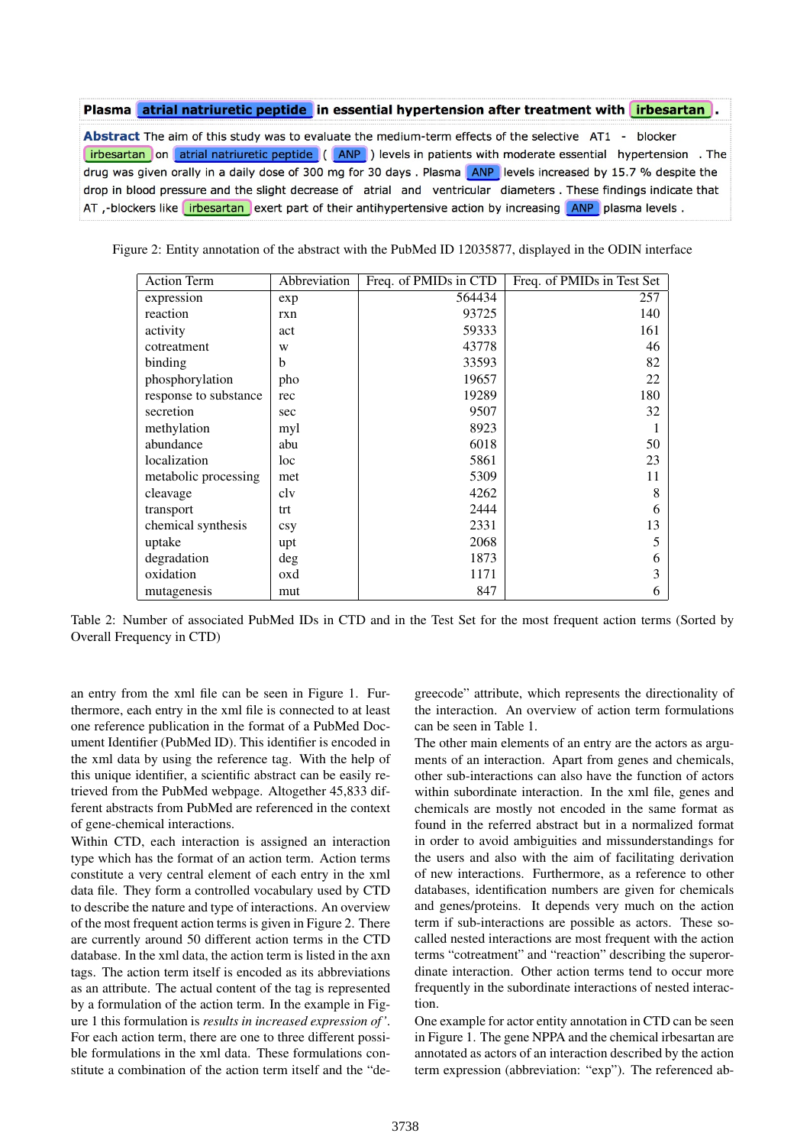#### Plasma atrial natriuretic peptide in essential hypertension after treatment with irbesartan.

Abstract The aim of this study was to evaluate the medium-term effects of the selective AT1 - blocker [irbesartan] on atrial natriuretic peptide ((ANP)) levels in patients with moderate essential hypertension. The drug was given orally in a daily dose of 300 mg for 30 days. Plasma ANP levels increased by 15.7 % despite the drop in blood pressure and the slight decrease of atrial and ventricular diameters. These findings indicate that AT ,-blockers like irbesartan exert part of their antihypertensive action by increasing ANP plasma levels.

Figure 2: Entity annotation of the abstract with the PubMed ID 12035877, displayed in the ODIN interface

| <b>Action Term</b>    | Abbreviation | Freq. of PMIDs in CTD | Freq. of PMIDs in Test Set |
|-----------------------|--------------|-----------------------|----------------------------|
| expression            | exp          | 564434                | 257                        |
| reaction              | rxn          | 93725                 | 140                        |
| activity              | act          | 59333                 | 161                        |
| cotreatment           | W            | 43778                 | 46                         |
| binding               | b            | 33593                 | 82                         |
| phosphorylation       | pho          | 19657                 | 22                         |
| response to substance | rec          | 19289                 | 180                        |
| secretion             | sec          | 9507                  | 32                         |
| methylation           | myl          | 8923                  |                            |
| abundance             | abu          | 6018                  | 50                         |
| localization          | loc          | 5861                  | 23                         |
| metabolic processing  | met          | 5309                  | 11                         |
| cleavage              | clv          | 4262                  | 8                          |
| transport             | trt          | 2444                  | 6                          |
| chemical synthesis    | csy          | 2331                  | 13                         |
| uptake                | upt          | 2068                  | 5                          |
| degradation           | deg          | 1873                  | 6                          |
| oxidation             | oxd          | 1171                  | 3                          |
| mutagenesis           | mut          | 847                   | 6                          |

Table 2: Number of associated PubMed IDs in CTD and in the Test Set for the most frequent action terms (Sorted by Overall Frequency in CTD)

an entry from the xml file can be seen in Figure 1. Furthermore, each entry in the xml file is connected to at least one reference publication in the format of a PubMed Document Identifier (PubMed ID). This identifier is encoded in the xml data by using the reference tag. With the help of this unique identifier, a scientific abstract can be easily retrieved from the PubMed webpage. Altogether 45,833 different abstracts from PubMed are referenced in the context of gene-chemical interactions.

Within CTD, each interaction is assigned an interaction type which has the format of an action term. Action terms constitute a very central element of each entry in the xml data file. They form a controlled vocabulary used by CTD to describe the nature and type of interactions. An overview of the most frequent action terms is given in Figure 2. There are currently around 50 different action terms in the CTD database. In the xml data, the action term is listed in the axn tags. The action term itself is encoded as its abbreviations as an attribute. The actual content of the tag is represented by a formulation of the action term. In the example in Figure 1 this formulation is *results in increased expression of '*. For each action term, there are one to three different possible formulations in the xml data. These formulations constitute a combination of the action term itself and the "de-

greecode" attribute, which represents the directionality of the interaction. An overview of action term formulations can be seen in Table 1.

The other main elements of an entry are the actors as arguments of an interaction. Apart from genes and chemicals, other sub-interactions can also have the function of actors within subordinate interaction. In the xml file, genes and chemicals are mostly not encoded in the same format as found in the referred abstract but in a normalized format in order to avoid ambiguities and missunderstandings for the users and also with the aim of facilitating derivation of new interactions. Furthermore, as a reference to other databases, identification numbers are given for chemicals and genes/proteins. It depends very much on the action term if sub-interactions are possible as actors. These socalled nested interactions are most frequent with the action terms "cotreatment" and "reaction" describing the superordinate interaction. Other action terms tend to occur more frequently in the subordinate interactions of nested interaction.

One example for actor entity annotation in CTD can be seen in Figure 1. The gene NPPA and the chemical irbesartan are annotated as actors of an interaction described by the action term expression (abbreviation: "exp"). The referenced ab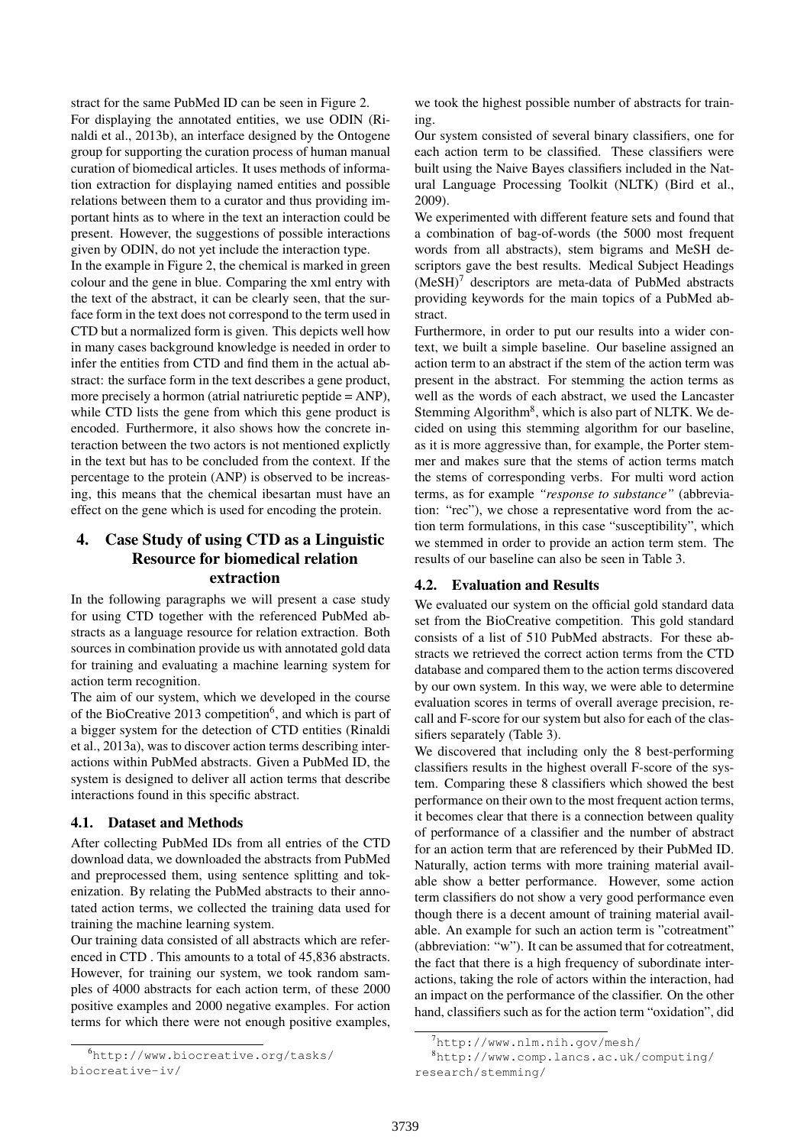stract for the same PubMed ID can be seen in Figure 2. For displaying the annotated entities, we use ODIN (Rinaldi et al., 2013b), an interface designed by the Ontogene group for supporting the curation process of human manual curation of biomedical articles. It uses methods of information extraction for displaying named entities and possible relations between them to a curator and thus providing important hints as to where in the text an interaction could be present. However, the suggestions of possible interactions given by ODIN, do not yet include the interaction type.

In the example in Figure 2, the chemical is marked in green colour and the gene in blue. Comparing the xml entry with the text of the abstract, it can be clearly seen, that the surface form in the text does not correspond to the term used in CTD but a normalized form is given. This depicts well how in many cases background knowledge is needed in order to infer the entities from CTD and find them in the actual abstract: the surface form in the text describes a gene product, more precisely a hormon (atrial natriuretic peptide = ANP), while CTD lists the gene from which this gene product is encoded. Furthermore, it also shows how the concrete interaction between the two actors is not mentioned explictly in the text but has to be concluded from the context. If the percentage to the protein (ANP) is observed to be increasing, this means that the chemical ibesartan must have an effect on the gene which is used for encoding the protein.

# 4. Case Study of using CTD as a Linguistic Resource for biomedical relation extraction

In the following paragraphs we will present a case study for using CTD together with the referenced PubMed abstracts as a language resource for relation extraction. Both sources in combination provide us with annotated gold data for training and evaluating a machine learning system for action term recognition.

The aim of our system, which we developed in the course of the BioCreative 2013 competition<sup>6</sup>, and which is part of a bigger system for the detection of CTD entities (Rinaldi et al., 2013a), was to discover action terms describing interactions within PubMed abstracts. Given a PubMed ID, the system is designed to deliver all action terms that describe interactions found in this specific abstract.

### 4.1. Dataset and Methods

After collecting PubMed IDs from all entries of the CTD download data, we downloaded the abstracts from PubMed and preprocessed them, using sentence splitting and tokenization. By relating the PubMed abstracts to their annotated action terms, we collected the training data used for training the machine learning system.

Our training data consisted of all abstracts which are referenced in CTD . This amounts to a total of 45,836 abstracts. However, for training our system, we took random samples of 4000 abstracts for each action term, of these 2000 positive examples and 2000 negative examples. For action terms for which there were not enough positive examples,

we took the highest possible number of abstracts for training.

Our system consisted of several binary classifiers, one for each action term to be classified. These classifiers were built using the Naive Bayes classifiers included in the Natural Language Processing Toolkit (NLTK) (Bird et al., 2009).

We experimented with different feature sets and found that a combination of bag-of-words (the 5000 most frequent words from all abstracts), stem bigrams and MeSH descriptors gave the best results. Medical Subject Headings  $(MeSH)^7$  descriptors are meta-data of PubMed abstracts providing keywords for the main topics of a PubMed abstract.

Furthermore, in order to put our results into a wider context, we built a simple baseline. Our baseline assigned an action term to an abstract if the stem of the action term was present in the abstract. For stemming the action terms as well as the words of each abstract, we used the Lancaster Stemming Algorithm<sup>8</sup>, which is also part of NLTK. We decided on using this stemming algorithm for our baseline, as it is more aggressive than, for example, the Porter stemmer and makes sure that the stems of action terms match the stems of corresponding verbs. For multi word action terms, as for example *"response to substance"* (abbreviation: "rec"), we chose a representative word from the action term formulations, in this case "susceptibility", which we stemmed in order to provide an action term stem. The results of our baseline can also be seen in Table 3.

# 4.2. Evaluation and Results

We evaluated our system on the official gold standard data set from the BioCreative competition. This gold standard consists of a list of 510 PubMed abstracts. For these abstracts we retrieved the correct action terms from the CTD database and compared them to the action terms discovered by our own system. In this way, we were able to determine evaluation scores in terms of overall average precision, recall and F-score for our system but also for each of the classifiers separately (Table 3).

We discovered that including only the 8 best-performing classifiers results in the highest overall F-score of the system. Comparing these 8 classifiers which showed the best performance on their own to the most frequent action terms, it becomes clear that there is a connection between quality of performance of a classifier and the number of abstract for an action term that are referenced by their PubMed ID. Naturally, action terms with more training material available show a better performance. However, some action term classifiers do not show a very good performance even though there is a decent amount of training material available. An example for such an action term is "cotreatment" (abbreviation: "w"). It can be assumed that for cotreatment, the fact that there is a high frequency of subordinate interactions, taking the role of actors within the interaction, had an impact on the performance of the classifier. On the other hand, classifiers such as for the action term "oxidation", did

<sup>6</sup>http://www.biocreative.org/tasks/ biocreative-iv/

 $7$ http://www.nlm.nih.gov/mesh/

<sup>8</sup>http://www.comp.lancs.ac.uk/computing/ research/stemming/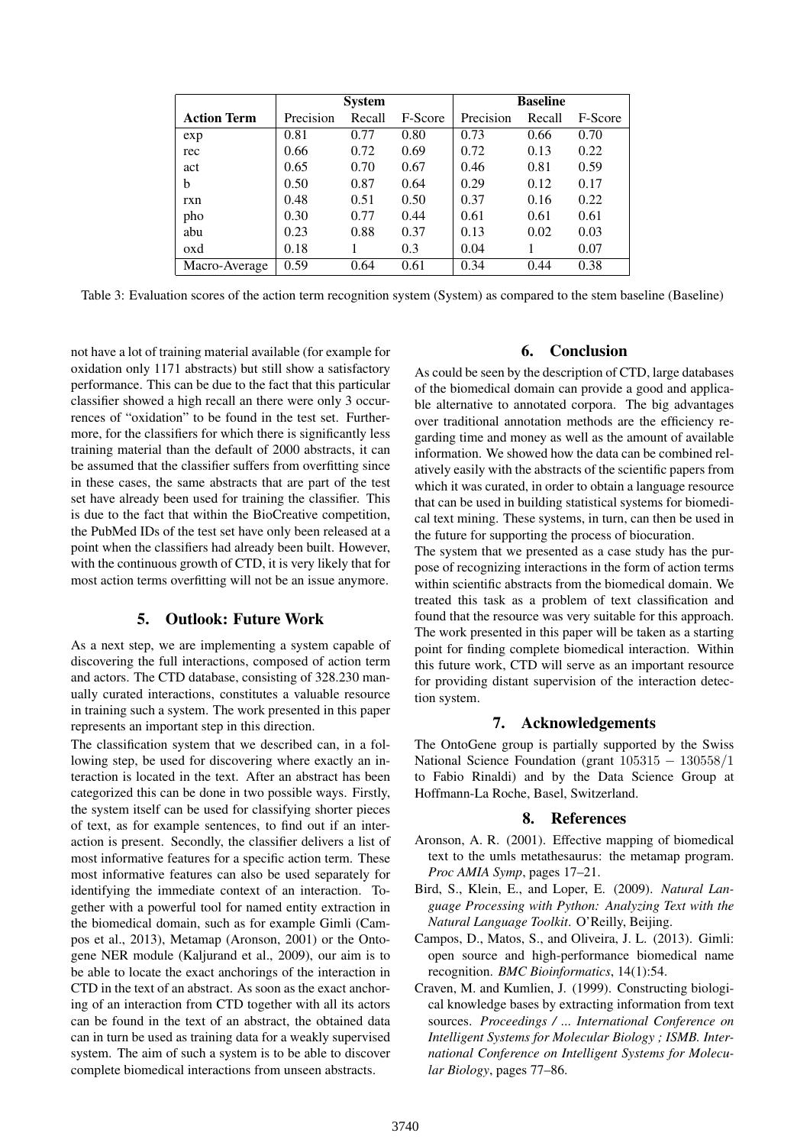|                    | <b>System</b> |        |         | <b>Baseline</b> |        |         |
|--------------------|---------------|--------|---------|-----------------|--------|---------|
| <b>Action Term</b> | Precision     | Recall | F-Score | Precision       | Recall | F-Score |
| exp                | 0.81          | 0.77   | 0.80    | 0.73            | 0.66   | 0.70    |
| rec                | 0.66          | 0.72   | 0.69    | 0.72            | 0.13   | 0.22    |
| act                | 0.65          | 0.70   | 0.67    | 0.46            | 0.81   | 0.59    |
| b                  | 0.50          | 0.87   | 0.64    | 0.29            | 0.12   | 0.17    |
| rxn                | 0.48          | 0.51   | 0.50    | 0.37            | 0.16   | 0.22    |
| pho                | 0.30          | 0.77   | 0.44    | 0.61            | 0.61   | 0.61    |
| abu                | 0.23          | 0.88   | 0.37    | 0.13            | 0.02   | 0.03    |
| oxd                | 0.18          |        | 0.3     | 0.04            |        | 0.07    |
| Macro-Average      | 0.59          | 0.64   | 0.61    | 0.34            | 0.44   | 0.38    |

Table 3: Evaluation scores of the action term recognition system (System) as compared to the stem baseline (Baseline)

not have a lot of training material available (for example for oxidation only 1171 abstracts) but still show a satisfactory performance. This can be due to the fact that this particular classifier showed a high recall an there were only 3 occurrences of "oxidation" to be found in the test set. Furthermore, for the classifiers for which there is significantly less training material than the default of 2000 abstracts, it can be assumed that the classifier suffers from overfitting since in these cases, the same abstracts that are part of the test set have already been used for training the classifier. This is due to the fact that within the BioCreative competition, the PubMed IDs of the test set have only been released at a point when the classifiers had already been built. However, with the continuous growth of CTD, it is very likely that for most action terms overfitting will not be an issue anymore.

# 5. Outlook: Future Work

As a next step, we are implementing a system capable of discovering the full interactions, composed of action term and actors. The CTD database, consisting of 328.230 manually curated interactions, constitutes a valuable resource in training such a system. The work presented in this paper represents an important step in this direction.

The classification system that we described can, in a following step, be used for discovering where exactly an interaction is located in the text. After an abstract has been categorized this can be done in two possible ways. Firstly, the system itself can be used for classifying shorter pieces of text, as for example sentences, to find out if an interaction is present. Secondly, the classifier delivers a list of most informative features for a specific action term. These most informative features can also be used separately for identifying the immediate context of an interaction. Together with a powerful tool for named entity extraction in the biomedical domain, such as for example Gimli (Campos et al., 2013), Metamap (Aronson, 2001) or the Ontogene NER module (Kaljurand et al., 2009), our aim is to be able to locate the exact anchorings of the interaction in CTD in the text of an abstract. As soon as the exact anchoring of an interaction from CTD together with all its actors can be found in the text of an abstract, the obtained data can in turn be used as training data for a weakly supervised system. The aim of such a system is to be able to discover complete biomedical interactions from unseen abstracts.

### 6. Conclusion

As could be seen by the description of CTD, large databases of the biomedical domain can provide a good and applicable alternative to annotated corpora. The big advantages over traditional annotation methods are the efficiency regarding time and money as well as the amount of available information. We showed how the data can be combined relatively easily with the abstracts of the scientific papers from which it was curated, in order to obtain a language resource that can be used in building statistical systems for biomedical text mining. These systems, in turn, can then be used in the future for supporting the process of biocuration.

The system that we presented as a case study has the purpose of recognizing interactions in the form of action terms within scientific abstracts from the biomedical domain. We treated this task as a problem of text classification and found that the resource was very suitable for this approach. The work presented in this paper will be taken as a starting point for finding complete biomedical interaction. Within this future work, CTD will serve as an important resource for providing distant supervision of the interaction detection system.

### 7. Acknowledgements

The OntoGene group is partially supported by the Swiss National Science Foundation (grant 105315 − 130558/1 to Fabio Rinaldi) and by the Data Science Group at Hoffmann-La Roche, Basel, Switzerland.

#### 8. References

- Aronson, A. R. (2001). Effective mapping of biomedical text to the umls metathesaurus: the metamap program. *Proc AMIA Symp*, pages 17–21.
- Bird, S., Klein, E., and Loper, E. (2009). *Natural Language Processing with Python: Analyzing Text with the Natural Language Toolkit*. O'Reilly, Beijing.
- Campos, D., Matos, S., and Oliveira, J. L. (2013). Gimli: open source and high-performance biomedical name recognition. *BMC Bioinformatics*, 14(1):54.
- Craven, M. and Kumlien, J. (1999). Constructing biological knowledge bases by extracting information from text sources. *Proceedings / ... International Conference on Intelligent Systems for Molecular Biology ; ISMB. International Conference on Intelligent Systems for Molecular Biology*, pages 77–86.